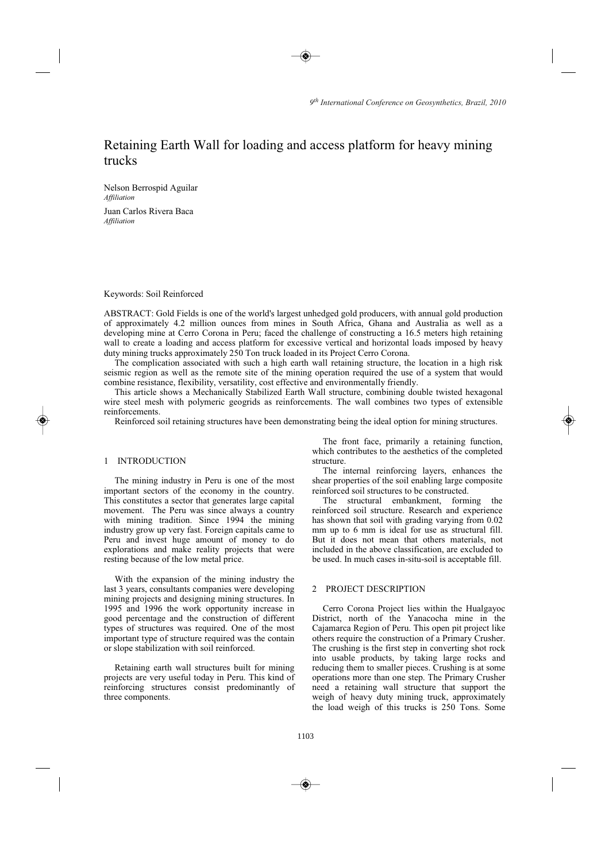# Retaining Earth Wall for loading and access platform for heavy mining trucks

Nelson Berrospid Aguilar Affiliation Juan Carlos Rivera Baca Affiliation

Keywords: Soil Reinforced

ABSTRACT: Gold Fields is one of the world's largest unhedged gold producers, with annual gold production of approximately 4.2 million ounces from mines in South Africa, Ghana and Australia as well as a developing mine at Cerro Corona in Peru; faced the challenge of constructing a 16.5 meters high retaining wall to create a loading and access platform for excessive vertical and horizontal loads imposed by heavy duty mining trucks approximately 250 Ton truck loaded in its Project Cerro Corona.

The complication associated with such a high earth wall retaining structure, the location in a high risk seismic region as well as the remote site of the mining operation required the use of a system that would combine resistance, flexibility, versatility, cost effective and environmentally friendly.

This article shows a Mechanically Stabilized Earth Wall structure, combining double twisted hexagonal wire steel mesh with polymeric geogrids as reinforcements. The wall combines two types of extensible reinforcements.

Reinforced soil retaining structures have been demonstrating being the ideal option for mining structures.

# 1 INTRODUCTION

The mining industry in Peru is one of the most important sectors of the economy in the country. This constitutes a sector that generates large capital movement. The Peru was since always a country with mining tradition. Since 1994 the mining industry grow up very fast. Foreign capitals came to Peru and invest huge amount of money to do explorations and make reality projects that were resting because of the low metal price.

With the expansion of the mining industry the last 3 years, consultants companies were developing mining projects and designing mining structures. In 1995 and 1996 the work opportunity increase in good percentage and the construction of different types of structures was required. One of the most important type of structure required was the contain or slope stabilization with soil reinforced.

Retaining earth wall structures built for mining projects are very useful today in Peru. This kind of reinforcing structures consist predominantly of three components.

The front face, primarily a retaining function, which contributes to the aesthetics of the completed structure

The internal reinforcing layers, enhances the shear properties of the soil enabling large composite reinforced soil structures to be constructed.

The structural embankment. forming the reinforced soil structure. Research and experience has shown that soil with grading varying from 0.02 mm up to 6 mm is ideal for use as structural fill. But it does not mean that others materials, not included in the above classification, are excluded to be used. In much cases in-situ-soil is acceptable fill.

# 2 PROJECT DESCRIPTION

Cerro Corona Project lies within the Hualgayoc District, north of the Yanacocha mine in the Cajamarca Region of Peru. This open pit project like others require the construction of a Primary Crusher. The crushing is the first step in converting shot rock into usable products, by taking large rocks and reducing them to smaller pieces. Crushing is at some operations more than one step. The Primary Crusher need a retaining wall structure that support the weigh of heavy duty mining truck, approximately the load weigh of this trucks is 250 Tons. Some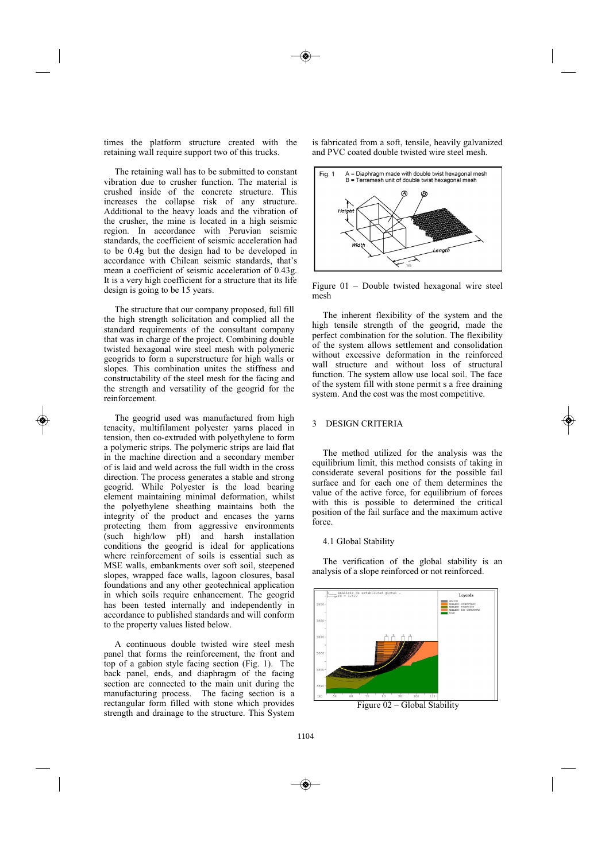times the platform structure created with the retaining wall require support two of this trucks.

The retaining wall has to be submitted to constant vibration due to crusher function. The material is crushed inside of the concrete structure. This increases the collapse risk of any structure. Additional to the heavy loads and the vibration of the crusher, the mine is located in a high seismic region. In accordance with Peruvian seismic standards, the coefficient of seismic acceleration had to be 0.4g but the design had to be developed in accordance with Chilean seismic standards, that's mean a coefficient of seismic acceleration of 0.43g. It is a very high coefficient for a structure that its life design is going to be 15 years.

The structure that our company proposed, full fill the high strength solicitation and complied all the standard requirements of the consultant company that was in charge of the project. Combining double twisted hexagonal wire steel mesh with polymeric geogrids to form a superstructure for high walls or slopes. This combination unites the stiffness and constructability of the steel mesh for the facing and the strength and versatility of the geogrid for the reinforcement.

The geogrid used was manufactured from high tenacity, multifilament polyester yarns placed in tension, then co-extruded with polyethylene to form a polymeric strips. The polymeric strips are laid flat in the machine direction and a secondary member of is laid and weld across the full width in the cross direction. The process generates a stable and strong geogrid. While Polyester is the load bearing element maintaining minimal deformation, whilst the polyethylene sheathing maintains both the integrity of the product and encases the yarns protecting them from aggressive environments (such high/low pH) and harsh installation conditions the geogrid is ideal for applications where reinforcement of soils is essential such as MSE walls, embankments over soft soil, steepened slopes, wrapped face walls, lagoon closures, basal foundations and any other geotechnical application in which soils require enhancement. The geogrid has been tested internally and independently in accordance to published standards and will conform to the property values listed below.

A continuous double twisted wire steel mesh panel that forms the reinforcement, the front and top of a gabion style facing section (Fig. 1). The back panel, ends, and diaphragm of the facing section are connected to the main unit during the manufacturing process. The facing section is a rectangular form filled with stone which provides strength and drainage to the structure. This System is fabricated from a soft, tensile, heavily galvanized and PVC coated double twisted wire steel mesh.



Figure  $01$  – Double twisted hexagonal wire steel mesh

The inherent flexibility of the system and the high tensile strength of the geogrid, made the perfect combination for the solution. The flexibility of the system allows settlement and consolidation without excessive deformation in the reinforced wall structure and without loss of structural function. The system allow use local soil. The face of the system fill with stone permit s a free draining system. And the cost was the most competitive.

#### 3 DESIGN CRITERIA

The method utilized for the analysis was the equilibrium limit, this method consists of taking in considerate several positions for the possible fail surface and for each one of them determines the value of the active force, for equilibrium of forces with this is possible to determined the critical position of the fail surface and the maximum active force.

#### 4.1 Global Stability

The verification of the global stability is an analysis of a slope reinforced or not reinforced.



Figure 02 - Global Stability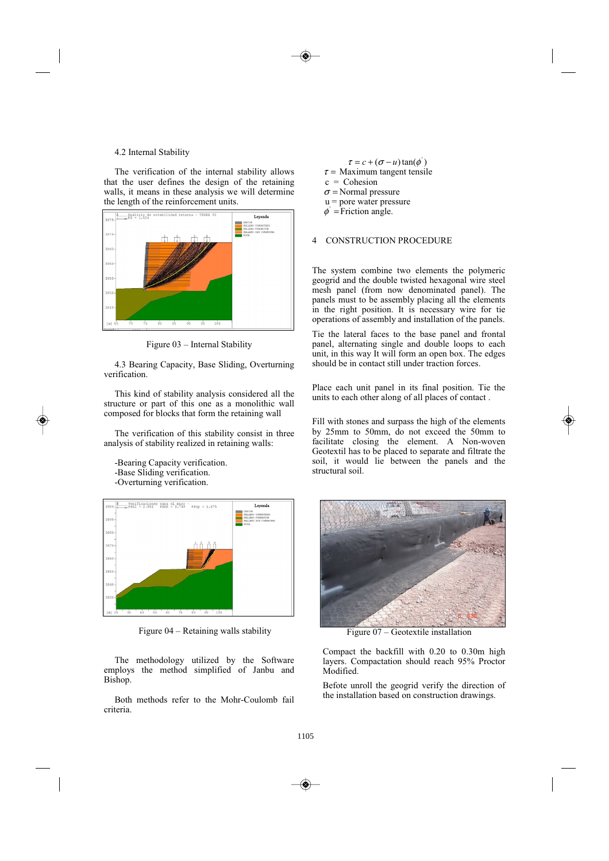### 4.2 Internal Stability

The verification of the internal stability allows that the user defines the design of the retaining walls, it means in these analysis we will determine the length of the reinforcement units.



Figure 03 - Internal Stability

4.3 Bearing Capacity, Base Sliding, Overturning verification.

This kind of stability analysis considered all the structure or part of this one as a monolithic wall composed for blocks that form the retaining wall

The verification of this stability consist in three analysis of stability realized in retaining walls:

-Bearing Capacity verification. -Base Sliding verification. -Overturning verification.



Figure  $04$  – Retaining walls stability

The methodology utilized by the Software employs the method simplified of Janbu and Bishop.

Both methods refer to the Mohr-Coulomb fail criteria

 $\tau$  = Maximum tangent tensile  $c =$  Cohesion  $\sigma$  = Normal pressure  $u =$  pore water pressure

 $\tau = c + (\sigma - u) \tan(\phi')$ 

 $\phi$  = Friction angle.

#### **CONSTRUCTION PROCEDURE**  $\mathbf{\Delta}$

The system combine two elements the polymeric geogrid and the double twisted hexagonal wire steel mesh panel (from now denominated panel). The panels must to be assembly placing all the elements in the right position. It is necessary wire for tie operations of assembly and installation of the panels.

Tie the lateral faces to the base panel and frontal panel, alternating single and double loops to each unit, in this way It will form an open box. The edges should be in contact still under traction forces.

Place each unit panel in its final position. Tie the units to each other along of all places of contact.

Fill with stones and surpass the high of the elements by 25mm to 50mm, do not exceed the 50mm to facilitate closing the element. A Non-woven Geotextil has to be placed to separate and filtrate the soil, it would lie between the panels and the structural soil.



Figure  $07$  – Geotextile installation

Compact the backfill with 0.20 to 0.30m high layers. Compactation should reach 95% Proctor Modified.

Befote unroll the geogrid verify the direction of the installation based on construction drawings.